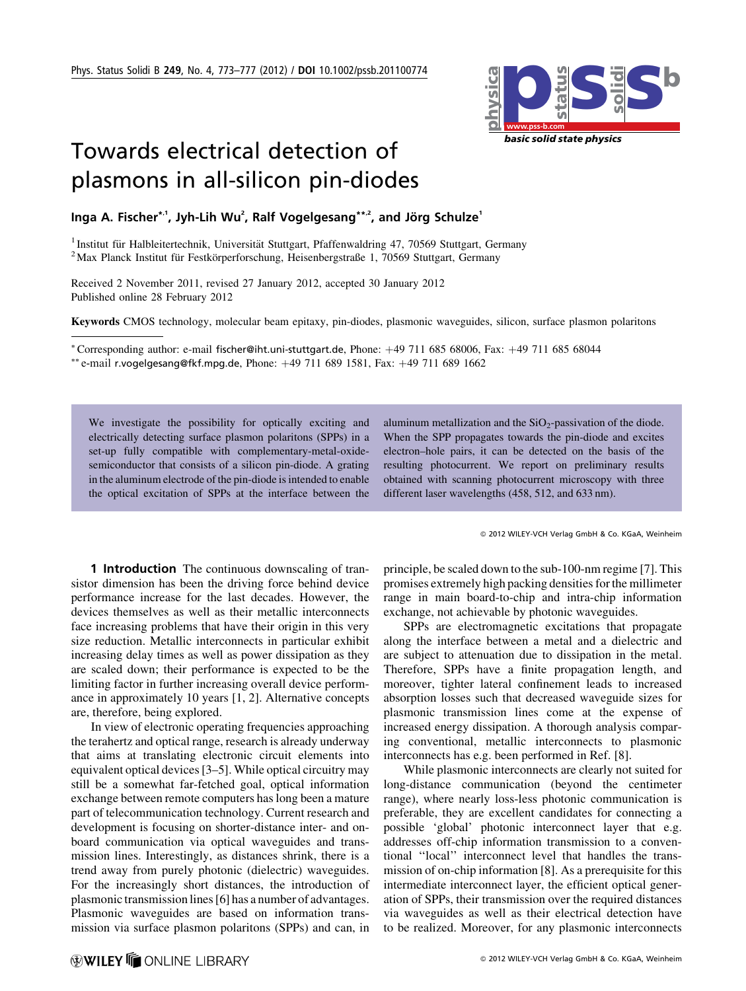

## Towards electrical detection of plasmons in all-silicon pin-diodes

Inga A. Fischer\*'', Jyh-Lih Wu<sup>2</sup>, Ralf Vogelgesang\*\*<sup>2</sup>, and Jörg Schulze<sup>1</sup>

<sup>1</sup> Institut für Halbleitertechnik, Universität Stuttgart, Pfaffenwaldring 47, 70569 Stuttgart, Germany <sup>2</sup> Max Planck Institut für Festkörperforschung, Heisenbergstraße 1, 70569 Stuttgart, Germany

Received 2 November 2011, revised 27 January 2012, accepted 30 January 2012 Published online 28 February 2012

Keywords CMOS technology, molecular beam epitaxy, pin-diodes, plasmonic waveguides, silicon, surface plasmon polaritons

\*Corresponding author: e-mail fischer@iht.uni-stuttgart.de, Phone: +49 711 685 68006, Fax: +49 711 685 68044 \*\* e-mail r.vogelgesang@fkf.mpg.de, Phone:  $+49$  711 689 1581, Fax:  $+49$  711 689 1662

We investigate the possibility for optically exciting and electrically detecting surface plasmon polaritons (SPPs) in a set-up fully compatible with complementary-metal-oxidesemiconductor that consists of a silicon pin-diode. A grating in the aluminum electrode of the pin-diode is intended to enable the optical excitation of SPPs at the interface between the aluminum metallization and the  $SiO<sub>2</sub>$ -passivation of the diode. When the SPP propagates towards the pin-diode and excites electron–hole pairs, it can be detected on the basis of the resulting photocurrent. We report on preliminary results obtained with scanning photocurrent microscopy with three different laser wavelengths (458, 512, and 633 nm).

2012 WILEY-VCH Verlag GmbH & Co. KGaA, Weinheim

1 Introduction The continuous downscaling of transistor dimension has been the driving force behind device performance increase for the last decades. However, the devices themselves as well as their metallic interconnects face increasing problems that have their origin in this very size reduction. Metallic interconnects in particular exhibit increasing delay times as well as power dissipation as they are scaled down; their performance is expected to be the limiting factor in further increasing overall device performance in approximately 10 years [1, 2]. Alternative concepts are, therefore, being explored.

In view of electronic operating frequencies approaching the terahertz and optical range, research is already underway that aims at translating electronic circuit elements into equivalent optical devices [3–5]. While optical circuitry may still be a somewhat far-fetched goal, optical information exchange between remote computers has long been a mature part of telecommunication technology. Current research and development is focusing on shorter-distance inter- and onboard communication via optical waveguides and transmission lines. Interestingly, as distances shrink, there is a trend away from purely photonic (dielectric) waveguides. For the increasingly short distances, the introduction of plasmonic transmission lines [6] has a number of advantages. Plasmonic waveguides are based on information transmission via surface plasmon polaritons (SPPs) and can, in principle, be scaled down to the sub-100-nm regime [7]. This promises extremely high packing densities for the millimeter range in main board-to-chip and intra-chip information exchange, not achievable by photonic waveguides.

SPPs are electromagnetic excitations that propagate along the interface between a metal and a dielectric and are subject to attenuation due to dissipation in the metal. Therefore, SPPs have a finite propagation length, and moreover, tighter lateral confinement leads to increased absorption losses such that decreased waveguide sizes for plasmonic transmission lines come at the expense of increased energy dissipation. A thorough analysis comparing conventional, metallic interconnects to plasmonic interconnects has e.g. been performed in Ref. [8].

While plasmonic interconnects are clearly not suited for long-distance communication (beyond the centimeter range), where nearly loss-less photonic communication is preferable, they are excellent candidates for connecting a possible 'global' photonic interconnect layer that e.g. addresses off-chip information transmission to a conventional ''local'' interconnect level that handles the transmission of on-chip information [8]. As a prerequisite for this intermediate interconnect layer, the efficient optical generation of SPPs, their transmission over the required distances via waveguides as well as their electrical detection have to be realized. Moreover, for any plasmonic interconnects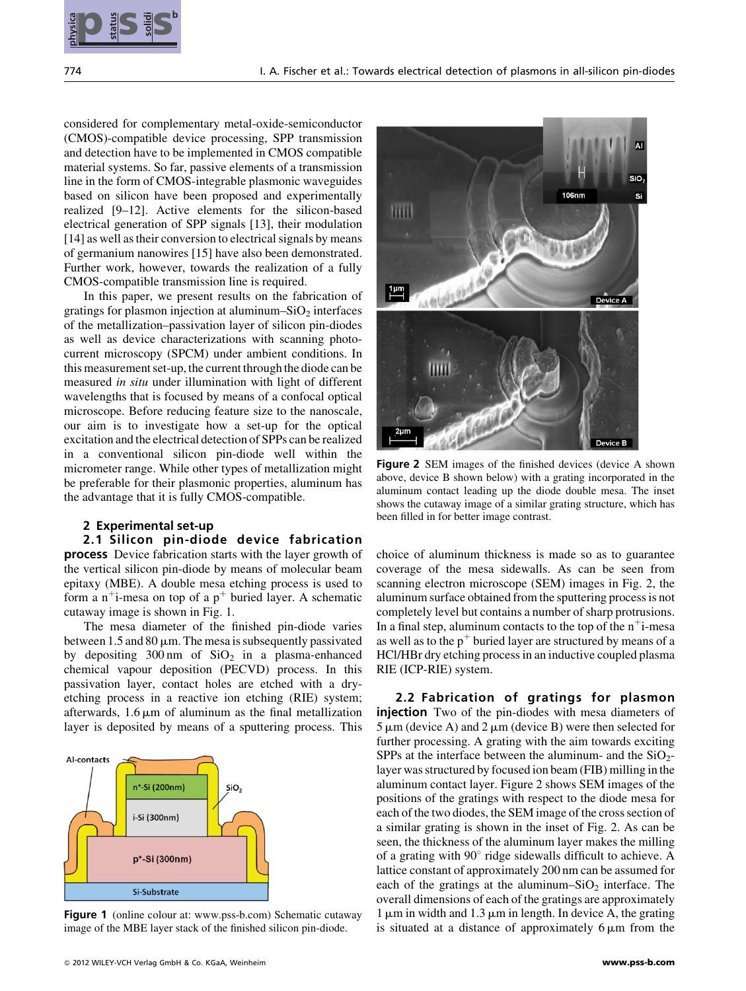

considered for complementary metal-oxide-semiconductor (CMOS)-compatible device processing, SPP transmission and detection have to be implemented in CMOS compatible material systems. So far, passive elements of a transmission line in the form of CMOS-integrable plasmonic waveguides based on silicon have been proposed and experimentally realized [9–12]. Active elements for the silicon-based electrical generation of SPP signals [13], their modulation [14] as well as their conversion to electrical signals by means of germanium nanowires [15] have also been demonstrated. Further work, however, towards the realization of a fully CMOS-compatible transmission line is required.

In this paper, we present results on the fabrication of gratings for plasmon injection at aluminum– $SiO<sub>2</sub>$  interfaces of the metallization–passivation layer of silicon pin-diodes as well as device characterizations with scanning photocurrent microscopy (SPCM) under ambient conditions. In this measurement set-up, the current through the diode can be measured in situ under illumination with light of different wavelengths that is focused by means of a confocal optical microscope. Before reducing feature size to the nanoscale, our aim is to investigate how a set-up for the optical excitation and the electrical detection of SPPs can be realized in a conventional silicon pin-diode well within the micrometer range. While other types of metallization might be preferable for their plasmonic properties, aluminum has the advantage that it is fully CMOS-compatible.

## 2 Experimental set-up

## 2.1 Silicon pin-diode device fabrication

process Device fabrication starts with the layer growth of the vertical silicon pin-diode by means of molecular beam epitaxy (MBE). A double mesa etching process is used to form a n<sup>+</sup>i-mesa on top of a  $p^+$  buried layer. A schematic cutaway image is shown in Fig. 1.

The mesa diameter of the finished pin-diode varies between 1.5 and 80  $\mu$ m. The mesa is subsequently passivated by depositing  $300 \text{ nm}$  of  $SiO<sub>2</sub>$  in a plasma-enhanced chemical vapour deposition (PECVD) process. In this passivation layer, contact holes are etched with a dryetching process in a reactive ion etching (RIE) system; afterwards,  $1.6 \mu m$  of aluminum as the final metallization layer is deposited by means of a sputtering process. This



Figure 1 (online colour at: www.pss-b.com) Schematic cutaway image of the MBE layer stack of the finished silicon pin-diode.



Figure 2 SEM images of the finished devices (device A shown above, device B shown below) with a grating incorporated in the aluminum contact leading up the diode double mesa. The inset shows the cutaway image of a similar grating structure, which has been filled in for better image contrast.

choice of aluminum thickness is made so as to guarantee coverage of the mesa sidewalls. As can be seen from scanning electron microscope (SEM) images in Fig. 2, the aluminum surface obtained from the sputtering process is not completely level but contains a number of sharp protrusions. In a final step, aluminum contacts to the top of the  $n^+$ i-mesa as well as to the  $p^+$  buried layer are structured by means of a HCl/HBr dry etching process in an inductive coupled plasma RIE (ICP-RIE) system.

2.2 Fabrication of gratings for plasmon **injection** Two of the pin-diodes with mesa diameters of  $5 \mu m$  (device A) and  $2 \mu m$  (device B) were then selected for further processing. A grating with the aim towards exciting SPPs at the interface between the aluminum- and the  $SiO<sub>2</sub>$ layer was structured by focused ion beam (FIB) milling in the aluminum contact layer. Figure 2 shows SEM images of the positions of the gratings with respect to the diode mesa for each of the two diodes, the SEM image of the cross section of a similar grating is shown in the inset of Fig. 2. As can be seen, the thickness of the aluminum layer makes the milling of a grating with 90*8* ridge sidewalls difficult to achieve. A lattice constant of approximately 200 nm can be assumed for each of the gratings at the aluminum– $SiO<sub>2</sub>$  interface. The overall dimensions of each of the gratings are approximately  $1 \mu m$  in width and  $1.3 \mu m$  in length. In device A, the grating is situated at a distance of approximately  $6 \mu m$  from the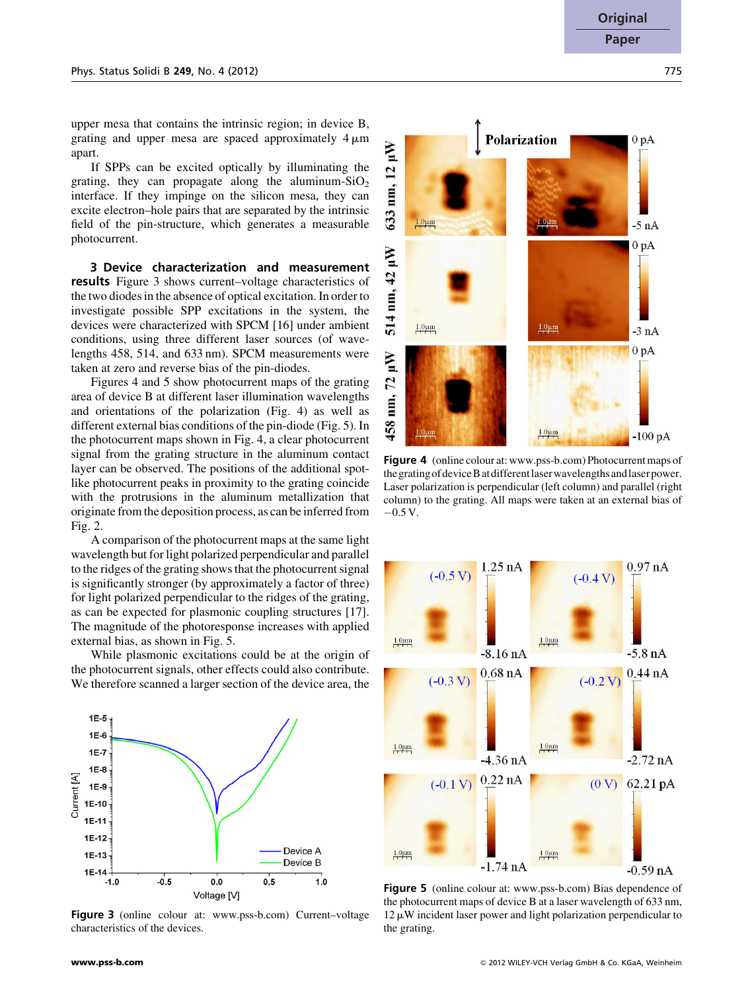upper mesa that contains the intrinsic region; in device B, grating and upper mesa are spaced approximately  $4 \mu m$ apart.

If SPPs can be excited optically by illuminating the grating, they can propagate along the aluminum- $SiO<sub>2</sub>$ interface. If they impinge on the silicon mesa, they can excite electron–hole pairs that are separated by the intrinsic field of the pin-structure, which generates a measurable photocurrent.

3 Device characterization and measurement results Figure 3 shows current–voltage characteristics of the two diodes in the absence of optical excitation. In order to investigate possible SPP excitations in the system, the devices were characterized with SPCM [16] under ambient conditions, using three different laser sources (of wavelengths 458, 514, and 633 nm). SPCM measurements were taken at zero and reverse bias of the pin-diodes.

Figures 4 and 5 show photocurrent maps of the grating area of device B at different laser illumination wavelengths and orientations of the polarization (Fig. 4) as well as different external bias conditions of the pin-diode (Fig. 5). In the photocurrent maps shown in Fig. 4, a clear photocurrent signal from the grating structure in the aluminum contact layer can be observed. The positions of the additional spotlike photocurrent peaks in proximity to the grating coincide with the protrusions in the aluminum metallization that originate from the deposition process, as can be inferred from Fig. 2.

A comparison of the photocurrent maps at the same light wavelength but for light polarized perpendicular and parallel to the ridges of the grating shows that the photocurrent signal is significantly stronger (by approximately a factor of three) for light polarized perpendicular to the ridges of the grating, as can be expected for plasmonic coupling structures [17]. The magnitude of the photoresponse increases with applied external bias, as shown in Fig. 5.

While plasmonic excitations could be at the origin of the photocurrent signals, other effects could also contribute. We therefore scanned a larger section of the device area, the



Figure 3 (online colour at: www.pss-b.com) Current–voltage characteristics of the devices.



Figure 4 (online colour at: www.pss-b.com) Photocurrent maps of thegratingofdeviceBatdifferentlaserwavelengthsandlaserpower. Laser polarization is perpendicular (left column) and parallel (right column) to the grating. All maps were taken at an external bias of  $-0.5 V.$ 



Figure 5 (online colour at: www.pss-b.com) Bias dependence of the photocurrent maps of device B at a laser wavelength of 633 nm,  $12 \mu W$  incident laser power and light polarization perpendicular to the grating.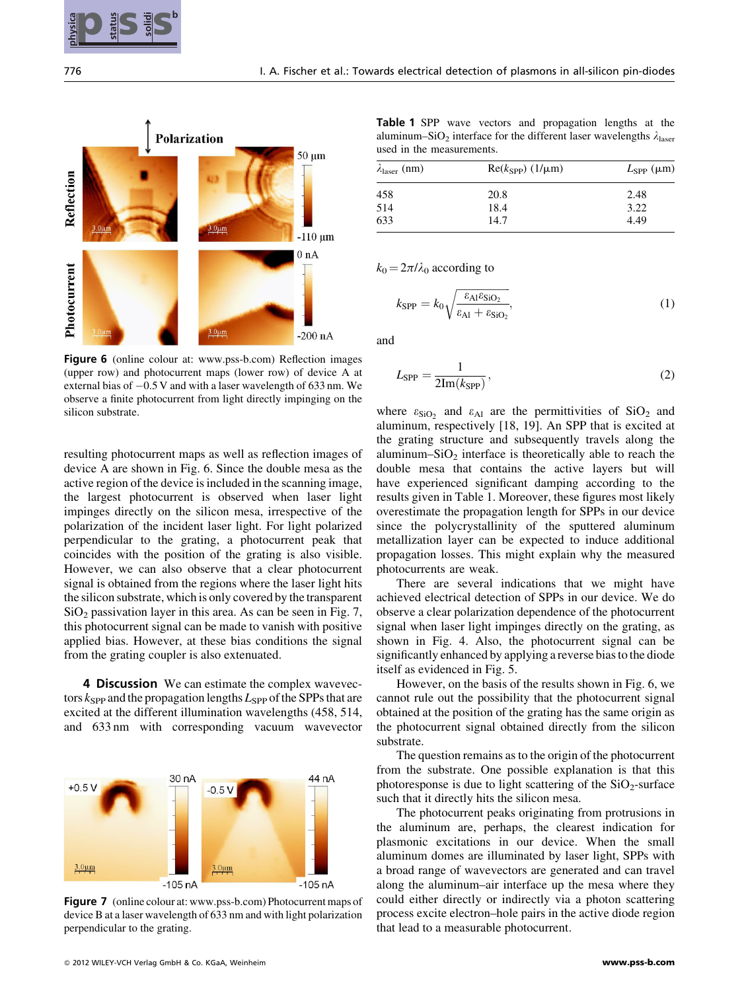



Figure 6 (online colour at: www.pss-b.com) Reflection images (upper row) and photocurrent maps (lower row) of device A at external bias of  $-0.5$  V and with a laser wavelength of 633 nm. We observe a finite photocurrent from light directly impinging on the silicon substrate.

resulting photocurrent maps as well as reflection images of device A are shown in Fig. 6. Since the double mesa as the active region of the device is included in the scanning image, the largest photocurrent is observed when laser light impinges directly on the silicon mesa, irrespective of the polarization of the incident laser light. For light polarized perpendicular to the grating, a photocurrent peak that coincides with the position of the grating is also visible. However, we can also observe that a clear photocurrent signal is obtained from the regions where the laser light hits the silicon substrate, which is only covered by the transparent  $SiO<sub>2</sub>$  passivation layer in this area. As can be seen in Fig. 7, this photocurrent signal can be made to vanish with positive applied bias. However, at these bias conditions the signal from the grating coupler is also extenuated.

4 Discussion We can estimate the complex wavevectors  $k_{\text{SPP}}$  and the propagation lengths  $L_{\text{SPP}}$  of the SPPs that are excited at the different illumination wavelengths (458, 514, and 633 nm with corresponding vacuum wavevector



Figure 7 (online colour at: www.pss-b.com) Photocurrent maps of device B at a laser wavelength of 633 nm and with light polarization perpendicular to the grating.

Table 1 SPP wave vectors and propagation lengths at the aluminum–SiO<sub>2</sub> interface for the different laser wavelengths  $\lambda_{\text{laser}}$ used in the measurements.

| $\lambda_{\text{laser}}$ (nm) | $Re(k_{SPP})$ (1/ $\mu$ m) | $L_{\rm SPP}$ ( $\mu$ m) |
|-------------------------------|----------------------------|--------------------------|
| 458                           | 20.8                       | 2.48                     |
| 514                           | 18.4                       | 3.22                     |
| 633                           | 14.7                       | 4.49                     |

 $k_0 = 2\pi/\lambda_0$  according to

$$
k_{\rm SPP} = k_0 \sqrt{\frac{\varepsilon_{\rm Al} \varepsilon_{\rm SiO_2}}{\varepsilon_{\rm Al} + \varepsilon_{\rm SiO_2}}},\tag{1}
$$

and

$$
L_{\rm SPP} = \frac{1}{2\text{Im}(k_{\rm SPP})},\tag{2}
$$

where  $\varepsilon_{\text{SiO}_2}$  and  $\varepsilon_{\text{Al}}$  are the permittivities of SiO<sub>2</sub> and aluminum, respectively [18, 19]. An SPP that is excited at the grating structure and subsequently travels along the aluminum– $SiO<sub>2</sub>$  interface is theoretically able to reach the double mesa that contains the active layers but will have experienced significant damping according to the results given in Table 1. Moreover, these figures most likely overestimate the propagation length for SPPs in our device since the polycrystallinity of the sputtered aluminum metallization layer can be expected to induce additional propagation losses. This might explain why the measured photocurrents are weak.

There are several indications that we might have achieved electrical detection of SPPs in our device. We do observe a clear polarization dependence of the photocurrent signal when laser light impinges directly on the grating, as shown in Fig. 4. Also, the photocurrent signal can be significantly enhanced by applying a reverse bias to the diode itself as evidenced in Fig. 5.

However, on the basis of the results shown in Fig. 6, we cannot rule out the possibility that the photocurrent signal obtained at the position of the grating has the same origin as the photocurrent signal obtained directly from the silicon substrate.

The question remains as to the origin of the photocurrent from the substrate. One possible explanation is that this photoresponse is due to light scattering of the  $SiO<sub>2</sub>$ -surface such that it directly hits the silicon mesa.

The photocurrent peaks originating from protrusions in the aluminum are, perhaps, the clearest indication for plasmonic excitations in our device. When the small aluminum domes are illuminated by laser light, SPPs with a broad range of wavevectors are generated and can travel along the aluminum–air interface up the mesa where they could either directly or indirectly via a photon scattering process excite electron–hole pairs in the active diode region that lead to a measurable photocurrent.